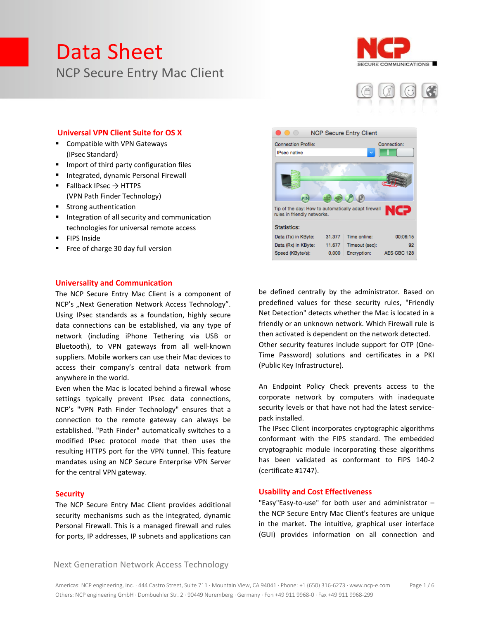



#### **Universal VPN Client Suite for OS X**

- Compatible with VPN Gateways (IPsec Standard)
- **IMPORT OF THIRD PARTLE INCOCO EVALUATE:** Import of third party configuration files
- **Integrated, dynamic Personal Firewall**
- Fallback IPsec  $\rightarrow$  HTTPS (VPN Path Finder Technology)
- Strong authentication
- **Integration of all security and communication** technologies for universal remote access
- **FIPS Inside**
- Free of charge 30 day full version

#### **Universality and Communication**

The NCP Secure Entry Mac Client is a component of NCP's "Next Generation Network Access Technology". Using IPsec standards as a foundation, highly secure data connections can be established, via any type of network (including iPhone Tethering via USB or Bluetooth), to VPN gateways from all well-known suppliers. Mobile workers can use their Mac devices to access their company's central data network from anywhere in the world.

Even when the Mac is located behind a firewall whose settings typically prevent IPsec data connections, NCP's "VPN Path Finder Technology" ensures that a connection to the remote gateway can always be established. "Path Finder" automatically switches to a modified IPsec protocol mode that then uses the resulting HTTPS port for the VPN tunnel. This feature mandates using an NCP Secure Enterprise VPN Server for the central VPN gateway.

#### **Security**

The NCP Secure Entry Mac Client provides additional security mechanisms such as the integrated, dynamic Personal Firewall. This is a managed firewall and rules for ports, IP addresses, IP subnets and applications can



be defined centrally by the administrator. Based on predefined values for these security rules, "Friendly Net Detection" detects whether the Mac is located in a friendly or an unknown network. Which Firewall rule is then activated is dependent on the network detected. Other security features include support for OTP (One-Time Password) solutions and certificates in a PKI (Public Key Infrastructure).

An Endpoint Policy Check prevents access to the corporate network by computers with inadequate security levels or that have not had the latest servicepack installed.

The IPsec Client incorporates cryptographic algorithms conformant with the FIPS standard. The embedded cryptographic module incorporating these algorithms has been validated as conformant to FIPS 140-2 (certificate #1747).

#### **Usability and Cost Effectiveness**

"Easy"Easy-to-use" for both user and administrator – the NCP Secure Entry Mac Client's features are unique in the market. The intuitive, graphical user interface (GUI) provides information on all connection and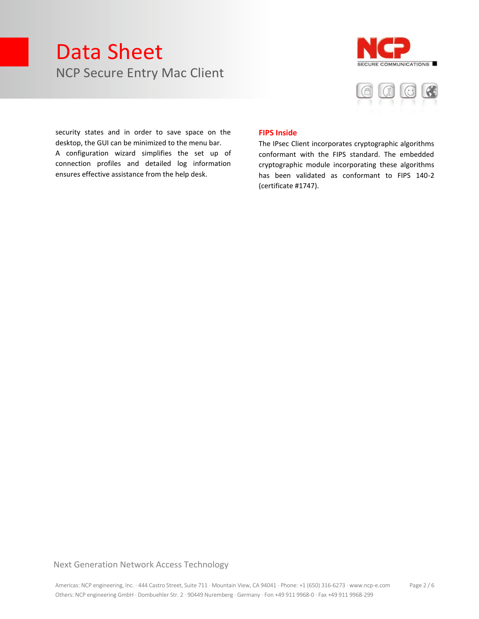



security states and in order to save space on the desktop, the GUI can be minimized to the menu bar. A configuration wizard simplifies the set up of connection profiles and detailed log information ensures effective assistance from the help desk.

#### **FIPS Inside**

The IPsec Client incorporates cryptographic algorithms conformant with the FIPS standard. The embedded cryptographic module incorporating these algorithms has been validated as conformant to FIPS 140-2 (certificate #1747).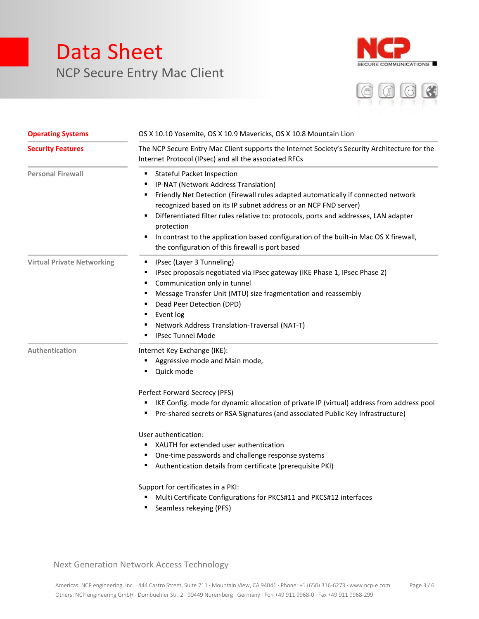



| <b>Operating Systems</b>          | OS X 10.10 Yosemite, OS X 10.9 Mavericks, OS X 10.8 Mountain Lion                                                                                                                                                                                                                                                                                                                                                                                                                                        |
|-----------------------------------|----------------------------------------------------------------------------------------------------------------------------------------------------------------------------------------------------------------------------------------------------------------------------------------------------------------------------------------------------------------------------------------------------------------------------------------------------------------------------------------------------------|
| <b>Security Features</b>          | The NCP Secure Entry Mac Client supports the Internet Society's Security Architecture for the<br>Internet Protocol (IPsec) and all the associated RFCs                                                                                                                                                                                                                                                                                                                                                   |
| <b>Personal Firewall</b>          | <b>Stateful Packet Inspection</b><br>п<br>IP-NAT (Network Address Translation)<br>Friendly Net Detection (Firewall rules adapted automatically if connected network<br>Е<br>recognized based on its IP subnet address or an NCP FND server)<br>Differentiated filter rules relative to: protocols, ports and addresses, LAN adapter<br>٠<br>protection<br>In contrast to the application based configuration of the built-in Mac OS X firewall,<br>٠<br>the configuration of this firewall is port based |
| <b>Virtual Private Networking</b> | IPsec (Layer 3 Tunneling)<br>п<br>IPsec proposals negotiated via IPsec gateway (IKE Phase 1, IPsec Phase 2)<br>Е<br>Communication only in tunnel<br>п<br>Message Transfer Unit (MTU) size fragmentation and reassembly<br>п<br>Dead Peer Detection (DPD)<br>п<br>Event log<br>п<br>Network Address Translation-Traversal (NAT-T)<br><b>IPsec Tunnel Mode</b>                                                                                                                                             |
| Authentication                    | Internet Key Exchange (IKE):<br>Aggressive mode and Main mode,<br>Quick mode<br>г<br>Perfect Forward Secrecy (PFS)                                                                                                                                                                                                                                                                                                                                                                                       |
|                                   | IKE Config. mode for dynamic allocation of private IP (virtual) address from address pool<br>Pre-shared secrets or RSA Signatures (and associated Public Key Infrastructure)<br>п                                                                                                                                                                                                                                                                                                                        |
|                                   | User authentication:<br>XAUTH for extended user authentication<br>٠<br>One-time passwords and challenge response systems<br>г<br>Authentication details from certificate (prerequisite PKI)<br>٠<br>Support for certificates in a PKI:                                                                                                                                                                                                                                                                   |

- Multi Certificate Configurations for PKCS#11 and PKCS#12 interfaces
- **Seamless rekeying (PFS)**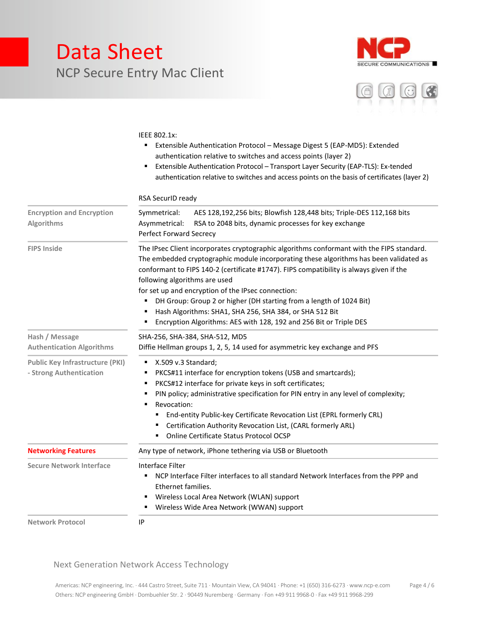



#### IEEE 802.1x:

- Extensible Authentication Protocol Message Digest 5 (EAP-MD5): Extended authentication relative to switches and access points (layer 2)
- Extensible Authentication Protocol Transport Layer Security (EAP-TLS): Ex-tended authentication relative to switches and access points on the basis of certificates (layer 2)

|                                                                   | RSA SecurID ready                                                                                                                                                                                                                                                                                                                                                                                                                                                                                                                                                                       |
|-------------------------------------------------------------------|-----------------------------------------------------------------------------------------------------------------------------------------------------------------------------------------------------------------------------------------------------------------------------------------------------------------------------------------------------------------------------------------------------------------------------------------------------------------------------------------------------------------------------------------------------------------------------------------|
| <b>Encryption and Encryption</b><br>Algorithms                    | Symmetrical:<br>AES 128,192,256 bits; Blowfish 128,448 bits; Triple-DES 112,168 bits<br>Asymmetrical:<br>RSA to 2048 bits, dynamic processes for key exchange<br>Perfect Forward Secrecy                                                                                                                                                                                                                                                                                                                                                                                                |
| <b>FIPS Inside</b>                                                | The IPsec Client incorporates cryptographic algorithms conformant with the FIPS standard.<br>The embedded cryptographic module incorporating these algorithms has been validated as<br>conformant to FIPS 140-2 (certificate #1747). FIPS compatibility is always given if the<br>following algorithms are used<br>for set up and encryption of the IPsec connection:<br>DH Group: Group 2 or higher (DH starting from a length of 1024 Bit)<br>٠<br>Hash Algorithms: SHA1, SHA 256, SHA 384, or SHA 512 Bit<br>٠<br>Encryption Algorithms: AES with 128, 192 and 256 Bit or Triple DES |
| Hash / Message<br><b>Authentication Algorithms</b>                | SHA-256, SHA-384, SHA-512, MD5<br>Diffie Hellman groups 1, 2, 5, 14 used for asymmetric key exchange and PFS                                                                                                                                                                                                                                                                                                                                                                                                                                                                            |
| <b>Public Key Infrastructure (PKI)</b><br>- Strong Authentication | X.509 v.3 Standard;<br>٠<br>PKCS#11 interface for encryption tokens (USB and smartcards);<br>п<br>PKCS#12 interface for private keys in soft certificates;<br>٠<br>PIN policy; administrative specification for PIN entry in any level of complexity;<br>Revocation:<br>End-entity Public-key Certificate Revocation List (EPRL formerly CRL)<br>٠<br>Certification Authority Revocation List, (CARL formerly ARL)<br>٠<br>Online Certificate Status Protocol OCSP<br>٠                                                                                                                 |
| <b>Networking Features</b>                                        | Any type of network, iPhone tethering via USB or Bluetooth                                                                                                                                                                                                                                                                                                                                                                                                                                                                                                                              |
| <b>Secure Network Interface</b>                                   | Interface Filter<br>NCP Interface Filter interfaces to all standard Network Interfaces from the PPP and<br>٠<br>Ethernet families.<br>Wireless Local Area Network (WLAN) support<br>п<br>Wireless Wide Area Network (WWAN) support<br>٠                                                                                                                                                                                                                                                                                                                                                 |
| <b>Network Protocol</b>                                           | IP                                                                                                                                                                                                                                                                                                                                                                                                                                                                                                                                                                                      |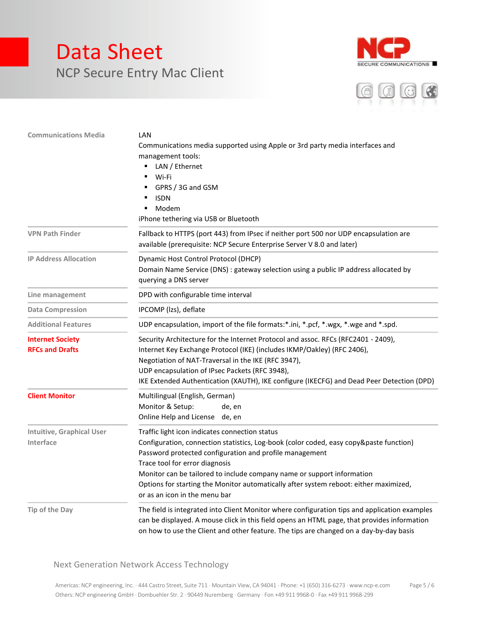



| <b>Communications Media</b>                       | LAN<br>Communications media supported using Apple or 3rd party media interfaces and<br>management tools:<br>LAN / Ethernet<br>Wi-Fi<br>GPRS / 3G and GSM<br><b>ISDN</b><br>Modem                                                                                                                                                                                                                                                          |
|---------------------------------------------------|-------------------------------------------------------------------------------------------------------------------------------------------------------------------------------------------------------------------------------------------------------------------------------------------------------------------------------------------------------------------------------------------------------------------------------------------|
| <b>VPN Path Finder</b>                            | iPhone tethering via USB or Bluetooth<br>Fallback to HTTPS (port 443) from IPsec if neither port 500 nor UDP encapsulation are<br>available (prerequisite: NCP Secure Enterprise Server V 8.0 and later)                                                                                                                                                                                                                                  |
| <b>IP Address Allocation</b>                      | Dynamic Host Control Protocol (DHCP)<br>Domain Name Service (DNS) : gateway selection using a public IP address allocated by<br>querying a DNS server                                                                                                                                                                                                                                                                                     |
| Line management                                   | DPD with configurable time interval                                                                                                                                                                                                                                                                                                                                                                                                       |
| <b>Data Compression</b>                           | IPCOMP (Izs), deflate                                                                                                                                                                                                                                                                                                                                                                                                                     |
| <b>Additional Features</b>                        | UDP encapsulation, import of the file formats:*.ini, *.pcf, *.wgx, *.wge and *.spd.                                                                                                                                                                                                                                                                                                                                                       |
| <b>Internet Society</b><br><b>RFCs and Drafts</b> | Security Architecture for the Internet Protocol and assoc. RFCs (RFC2401 - 2409),<br>Internet Key Exchange Protocol (IKE) (includes IKMP/Oakley) (RFC 2406),<br>Negotiation of NAT-Traversal in the IKE (RFC 3947),<br>UDP encapsulation of IPsec Packets (RFC 3948),<br>IKE Extended Authentication (XAUTH), IKE configure (IKECFG) and Dead Peer Detection (DPD)                                                                        |
| <b>Client Monitor</b>                             | Multilingual (English, German)<br>Monitor & Setup:<br>de, en<br>Online Help and License de, en                                                                                                                                                                                                                                                                                                                                            |
| <b>Intuitive, Graphical User</b><br>Interface     | Traffic light icon indicates connection status<br>Configuration, connection statistics, Log-book (color coded, easy copy&paste function)<br>Password protected configuration and profile management<br>Trace tool for error diagnosis<br>Monitor can be tailored to include company name or support information<br>Options for starting the Monitor automatically after system reboot: either maximized,<br>or as an icon in the menu bar |
| Tip of the Day                                    | The field is integrated into Client Monitor where configuration tips and application examples<br>can be displayed. A mouse click in this field opens an HTML page, that provides information<br>on how to use the Client and other feature. The tips are changed on a day-by-day basis                                                                                                                                                    |